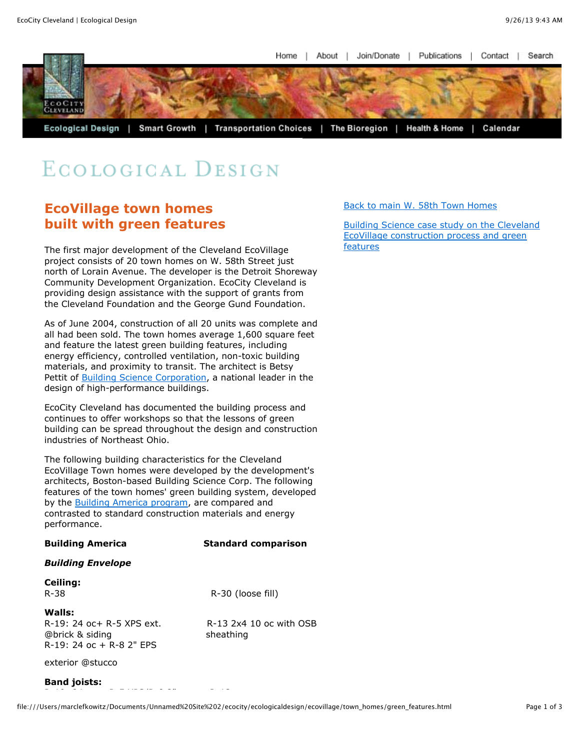Home About Join/Donate Publications  $\perp$ Contact Search



# ECOLOGICAL DESIGN

### **EcoVillage town homes built with green features**

The first major development of the Cleveland EcoVillage project consists of 20 town homes on W. 58th Street just north of Lorain Avenue. The developer is the Detroit Shoreway Community Development Organization. EcoCity Cleveland is providing design assistance with the support of grants from the Cleveland Foundation and the George Gund Foundation.

As of June 2004, construction of all 20 units was complete and all had been sold. The town homes average 1,600 square feet and feature the latest green building features, including energy efficiency, controlled ventilation, non-toxic building materials, and proximity to transit. The architect is Betsy Pettit of [Building Science Corporation,](http://www.buildingscience.com/) a national leader in the design of high-performance buildings.

EcoCity Cleveland has documented the building process and continues to offer workshops so that the lessons of green building can be spread throughout the design and construction industries of Northeast Ohio.

The following building characteristics for the Cleveland EcoVillage Town homes were developed by the development's architects, Boston-based Building Science Corp. The following features of the town homes' green building system, developed by the [Building America program,](http://www.buildingscience.com/buildingamerica/overview.htm) are compared and contrasted to standard construction materials and energy perforn

| by the <u>Banamay milenca program</u> y are compared and<br>contrasted to standard construction materials and energy<br>performance. |                            |
|--------------------------------------------------------------------------------------------------------------------------------------|----------------------------|
| <b>Building America</b>                                                                                                              | <b>Standard comparison</b> |
| <b>Building Envelope</b>                                                                                                             |                            |
| Ceiling:                                                                                                                             |                            |

**Ceiling:** R-38 R-30 (loose fill)

### **Walls:**

R-19: 24 oc+ R-5 XPS ext. R-13 2x4 10 oc with OSB @brick & siding sheathing R-19: 24 oc + R-8 2" EPS

R-19: 24 oc + R-5 XPS/R-8 2" R-13

exterior @stucco

### **Band joists:**

[Back to main W. 58th Town Homes](file:///Users/marclefkowitz/Documents/Unnamed%20Site%202/ecocity/ecologicaldesign/ecovillage/town_homes/w58townhome.html)

[Building Science case study on the Cleveland](http://www.buildingscience.com/buildingamerica/casestudies/ecovillage.htm) EcoVillage construction process and green features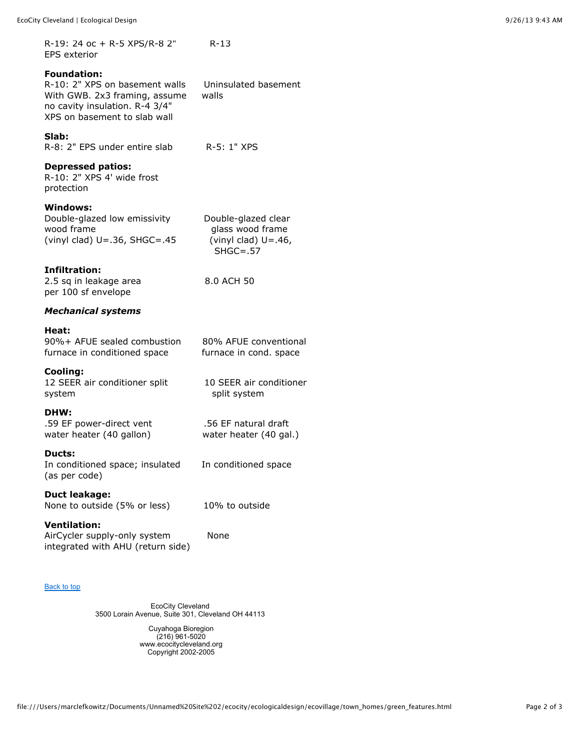R-19: 24 oc + R-5 XPS/R-8 2" R-13 EPS exterior

### **Foundation:**

R-10: 2" XPS on basement walls Uninsulated basement With GWB. 2x3 framing, assume walls no cavity insulation. R-4 3/4" XPS on basement to slab wall

#### **Slab:**

R-8: 2" EPS under entire slab R-5: 1" XPS

### **Depressed patios:**

R-10: 2" XPS 4' wide frost protection

### **Windows:**

| Double-glazed low emissivity         |
|--------------------------------------|
| wood frame                           |
| (vinyl clad) $U = .36$ , SHGC= $.45$ |

### **Infiltration:**

2.5 sq in leakage area 8.0 ACH 50 per 100 sf envelope

### *Mechanical systems*

### **Heat:**

90%+ AFUE sealed combustion 80% AFUE conventional furnace in conditioned space furnace in cond. space

### **Cooling:**

12 SEER air conditioner split 10 SEER air conditioner system system split system

### **DHW:**

.59 EF power-direct vent .56 EF natural draft water heater (40 gallon) water heater (40 gal.)

### **Ducts:**

In conditioned space; insulated In conditioned space (as per code)

## **Duct leakage:**

None to outside (5% or less) 10% to outside

### **Ventilation:**

AirCycler supply-only system None integrated with AHU (return side)

#### [Back to top](file:///Users/marclefkowitz/Documents/Unnamed%20Site%202/ecocity/ecologicaldesign/ecovillage/town_homes/green_features.html#top)

EcoCity Cleveland 3500 Lorain Avenue, Suite 301, Cleveland OH 44113

> Cuyahoga Bioregion (216) 961-5020 www.ecocitycleveland.org Copyright 2002-2005

Double-glazed clear glass wood frame (vinyl clad)  $U=.46$ , SHGC=.57